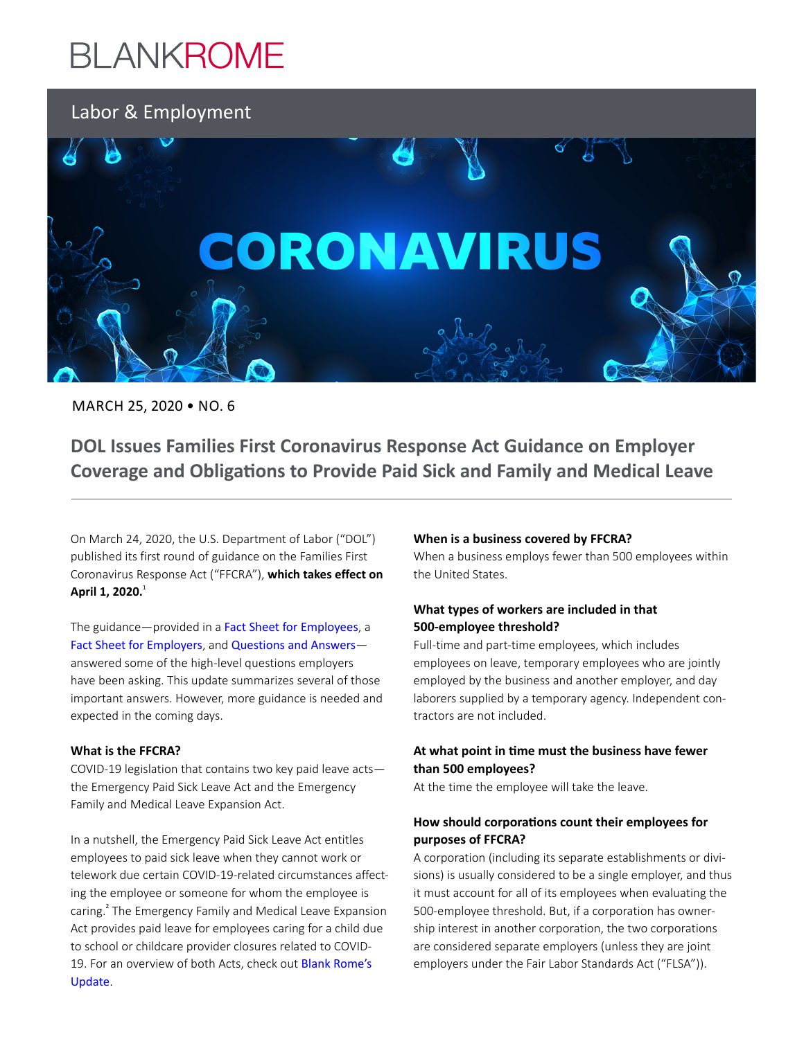### **BLANKROME**

### Labor & Employment



MARCH 25, 2020 • NO. 6

**DOL Issues Families First Coronavirus Response Act Guidance on Employer Coverage and Obligations to Provide Paid Sick and Family and Medical Leave**

On March 24, 2020, the U.S. Department of Labor ("DOL") published its first round of guidance on the Families First Coronavirus Response Act ("FFCRA"), **which takes effect on April 1, 2020.**<sup>1</sup>

The guidance—provided in a [Fact Sheet for Employees](https://www.dol.gov/agencies/whd/pandemic/ffcra-employee-paid-leave), a [Fact Sheet for Employers](https://www.dol.gov/agencies/whd/pandemic/ffcra-employer-paid-leave), and [Questions and Answers](https://www.dol.gov/agencies/whd/pandemic/ffcra-questions) answered some of the high-level questions employers have been asking. This update summarizes several of those important answers. However, more guidance is needed and expected in the coming days.

#### **What is the FFCRA?**

COVID-19 legislation that contains two key paid leave acts the Emergency Paid Sick Leave Act and the Emergency Family and Medical Leave Expansion Act.

In a nutshell, the Emergency Paid Sick Leave Act entitles employees to paid sick leave when they cannot work or telework due certain COVID-19-related circumstances affecting the employee or someone for whom the employee is caring.<sup>2</sup> The Emergency Family and Medical Leave Expansion Act provides paid leave for employees caring for a child due to school or childcare provider closures related to COVID-19. For an overview of both Acts, check out [Blank Rome's](https://www.blankrome.com/publications/coronavirus-update-house-passes-bill-paid-leave-and-other-emergency-relief)  [Update](https://www.blankrome.com/publications/coronavirus-update-house-passes-bill-paid-leave-and-other-emergency-relief).

#### **When is a business covered by FFCRA?**

When a business employs fewer than 500 employees within the United States.

#### **What types of workers are included in that 500-employee threshold?**

Full-time and part-time employees, which includes employees on leave, temporary employees who are jointly employed by the business and another employer, and day laborers supplied by a temporary agency. Independent contractors are not included.

#### **At what point in time must the business have fewer than 500 employees?**

At the time the employee will take the leave.

#### **How should corporations count their employees for purposes of FFCRA?**

A corporation (including its separate establishments or divisions) is usually considered to be a single employer, and thus it must account for all of its employees when evaluating the 500-employee threshold. But, if a corporation has ownership interest in another corporation, the two corporations are considered separate employers (unless they are joint employers under the Fair Labor Standards Act ("FLSA")).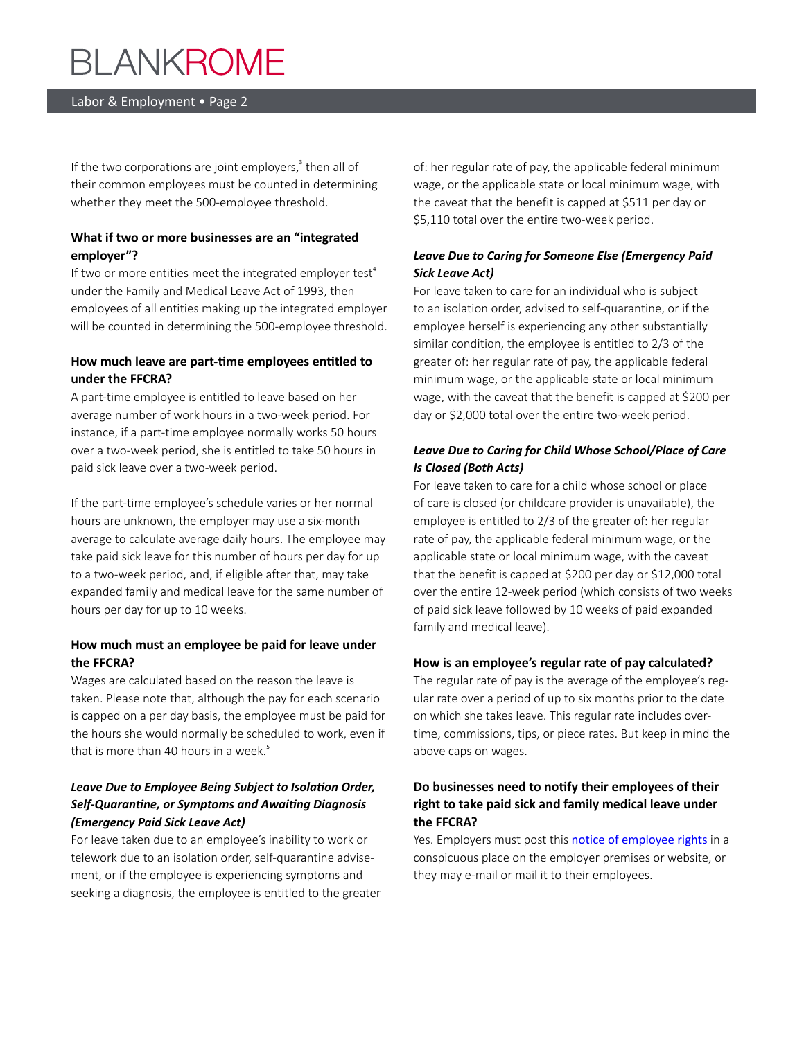## **BLANKROME**

#### Labor & Employment • Page 2

If the two corporations are joint employers,<sup>3</sup> then all of their common employees must be counted in determining whether they meet the 500-employee threshold.

#### **What if two or more businesses are an "integrated employer"?**

If two or more entities meet the integrated employer test<sup>4</sup> under the Family and Medical Leave Act of 1993, then employees of all entities making up the integrated employer will be counted in determining the 500-employee threshold.

#### **How much leave are part-time employees entitled to under the FFCRA?**

A part-time employee is entitled to leave based on her average number of work hours in a two-week period. For instance, if a part-time employee normally works 50 hours over a two-week period, she is entitled to take 50 hours in paid sick leave over a two-week period.

If the part-time employee's schedule varies or her normal hours are unknown, the employer may use a six-month average to calculate average daily hours. The employee may take paid sick leave for this number of hours per day for up to a two-week period, and, if eligible after that, may take expanded family and medical leave for the same number of hours per day for up to 10 weeks.

#### **How much must an employee be paid for leave under the FFCRA?**

Wages are calculated based on the reason the leave is taken. Please note that, although the pay for each scenario is capped on a per day basis, the employee must be paid for the hours she would normally be scheduled to work, even if that is more than 40 hours in a week. $5$ 

### *Leave Due to Employee Being Subject to Isolation Order, Self-Quarantine, or Symptoms and Awaiting Diagnosis (Emergency Paid Sick Leave Act)*

For leave taken due to an employee's inability to work or telework due to an isolation order, self-quarantine advisement, or if the employee is experiencing symptoms and seeking a diagnosis, the employee is entitled to the greater of: her regular rate of pay, the applicable federal minimum wage, or the applicable state or local minimum wage, with the caveat that the benefit is capped at \$511 per day or \$5,110 total over the entire two-week period.

### *Leave Due to Caring for Someone Else (Emergency Paid Sick Leave Act)*

For leave taken to care for an individual who is subject to an isolation order, advised to self-quarantine, or if the employee herself is experiencing any other substantially similar condition, the employee is entitled to 2/3 of the greater of: her regular rate of pay, the applicable federal minimum wage, or the applicable state or local minimum wage, with the caveat that the benefit is capped at \$200 per day or \$2,000 total over the entire two-week period.

#### *Leave Due to Caring for Child Whose School/Place of Care Is Closed (Both Acts)*

For leave taken to care for a child whose school or place of care is closed (or childcare provider is unavailable), the employee is entitled to 2/3 of the greater of: her regular rate of pay, the applicable federal minimum wage, or the applicable state or local minimum wage, with the caveat that the benefit is capped at \$200 per day or \$12,000 total over the entire 12-week period (which consists of two weeks of paid sick leave followed by 10 weeks of paid expanded family and medical leave).

#### **How is an employee's regular rate of pay calculated?**

The regular rate of pay is the average of the employee's regular rate over a period of up to six months prior to the date on which she takes leave. This regular rate includes overtime, commissions, tips, or piece rates. But keep in mind the above caps on wages.

#### **Do businesses need to notify their employees of their right to take paid sick and family medical leave under the FFCRA?**

Yes. Employers must post this [notice of employee rights](https://www.dol.gov/sites/dolgov/files/WHD/posters/FFCRA_Poster_WH1422_Non-Federal.pdf) in a conspicuous place on the employer premises or website, or they may e-mail or mail it to their employees.